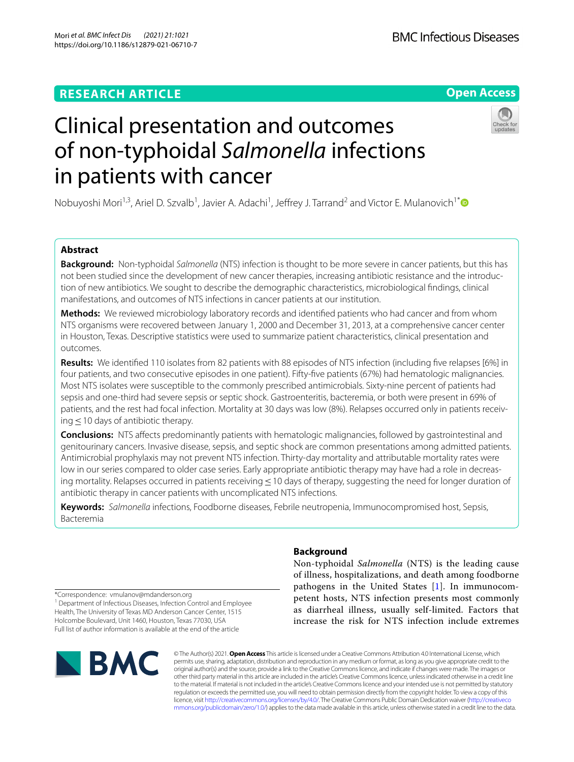## **RESEARCH ARTICLE**

## **Open Access**



# Clinical presentation and outcomes of non-typhoidal *Salmonella* infections in patients with cancer

Nobuyoshi Mori<sup>1,3</sup>, Ariel D. Szvalb<sup>1</sup>, Javier A. Adachi<sup>1</sup>, Jeffrey J. Tarrand<sup>2</sup> and Victor E. Mulanovich<sup>1[\\*](http://orcid.org/0000-0001-7028-4860)</sup>

## **Abstract**

**Background:** Non-typhoidal *Salmonella* (NTS) infection is thought to be more severe in cancer patients, but this has not been studied since the development of new cancer therapies, increasing antibiotic resistance and the introduction of new antibiotics. We sought to describe the demographic characteristics, microbiological fndings, clinical manifestations, and outcomes of NTS infections in cancer patients at our institution.

**Methods:** We reviewed microbiology laboratory records and identifed patients who had cancer and from whom NTS organisms were recovered between January 1, 2000 and December 31, 2013, at a comprehensive cancer center in Houston, Texas. Descriptive statistics were used to summarize patient characteristics, clinical presentation and outcomes.

**Results:** We identifed 110 isolates from 82 patients with 88 episodes of NTS infection (including fve relapses [6%] in four patients, and two consecutive episodes in one patient). Fifty-fve patients (67%) had hematologic malignancies. Most NTS isolates were susceptible to the commonly prescribed antimicrobials. Sixty-nine percent of patients had sepsis and one-third had severe sepsis or septic shock. Gastroenteritis, bacteremia, or both were present in 69% of patients, and the rest had focal infection. Mortality at 30 days was low (8%). Relapses occurred only in patients receiving≤10 days of antibiotic therapy.

**Conclusions:** NTS afects predominantly patients with hematologic malignancies, followed by gastrointestinal and genitourinary cancers. Invasive disease, sepsis, and septic shock are common presentations among admitted patients. Antimicrobial prophylaxis may not prevent NTS infection. Thirty-day mortality and attributable mortality rates were low in our series compared to older case series. Early appropriate antibiotic therapy may have had a role in decreasing mortality. Relapses occurred in patients receiving ≤10 days of therapy, suggesting the need for longer duration of antibiotic therapy in cancer patients with uncomplicated NTS infections.

**Keywords:** *Salmonella* infections, Foodborne diseases, Febrile neutropenia, Immunocompromised host, Sepsis, Bacteremia

## **Background**

Non-typhoidal *Salmonella* (NTS) is the leading cause of illness, hospitalizations, and death among foodborne pathogens in the United States [\[1](#page-5-0)]. In immunocompetent hosts, NTS infection presents most commonly as diarrheal illness, usually self-limited. Factors that increase the risk for NTS infection include extremes

\*Correspondence: vmulanov@mdanderson.org

<sup>1</sup> Department of Infectious Diseases, Infection Control and Employee Health, The University of Texas MD Anderson Cancer Center, 1515 Holcombe Boulevard, Unit 1460, Houston, Texas 77030, USA Full list of author information is available at the end of the article



© The Author(s) 2021. **Open Access** This article is licensed under a Creative Commons Attribution 4.0 International License, which permits use, sharing, adaptation, distribution and reproduction in any medium or format, as long as you give appropriate credit to the original author(s) and the source, provide a link to the Creative Commons licence, and indicate if changes were made. The images or other third party material in this article are included in the article's Creative Commons licence, unless indicated otherwise in a credit line to the material. If material is not included in the article's Creative Commons licence and your intended use is not permitted by statutory regulation or exceeds the permitted use, you will need to obtain permission directly from the copyright holder. To view a copy of this licence, visit [http://creativecommons.org/licenses/by/4.0/.](http://creativecommons.org/licenses/by/4.0/) The Creative Commons Public Domain Dedication waiver ([http://creativeco](http://creativecommons.org/publicdomain/zero/1.0/) [mmons.org/publicdomain/zero/1.0/](http://creativecommons.org/publicdomain/zero/1.0/)) applies to the data made available in this article, unless otherwise stated in a credit line to the data.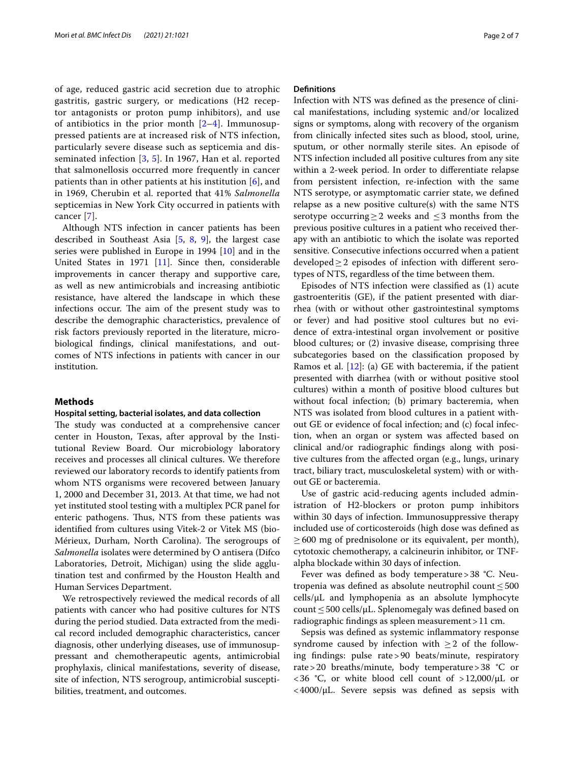of age, reduced gastric acid secretion due to atrophic gastritis, gastric surgery, or medications (H2 receptor antagonists or proton pump inhibitors), and use of antibiotics in the prior month  $[2-4]$  $[2-4]$ . Immunosuppressed patients are at increased risk of NTS infection, particularly severe disease such as septicemia and disseminated infection [\[3](#page-5-3), [5\]](#page-5-4). In 1967, Han et al. reported that salmonellosis occurred more frequently in cancer patients than in other patients at his institution [[6\]](#page-5-5), and in 1969, Cherubin et al. reported that 41% *Salmonella* septicemias in New York City occurred in patients with cancer [\[7](#page-5-6)].

Although NTS infection in cancer patients has been described in Southeast Asia [[5,](#page-5-4) [8,](#page-5-7) [9\]](#page-5-8), the largest case series were published in Europe in 1994 [\[10\]](#page-5-9) and in the United States in 1971 [[11](#page-5-10)]. Since then, considerable improvements in cancer therapy and supportive care, as well as new antimicrobials and increasing antibiotic resistance, have altered the landscape in which these infections occur. The aim of the present study was to describe the demographic characteristics, prevalence of risk factors previously reported in the literature, microbiological fndings, clinical manifestations, and outcomes of NTS infections in patients with cancer in our institution.

#### **Methods**

#### **Hospital setting, bacterial isolates, and data collection**

The study was conducted at a comprehensive cancer center in Houston, Texas, after approval by the Institutional Review Board. Our microbiology laboratory receives and processes all clinical cultures. We therefore reviewed our laboratory records to identify patients from whom NTS organisms were recovered between January 1, 2000 and December 31, 2013. At that time, we had not yet instituted stool testing with a multiplex PCR panel for enteric pathogens. Thus, NTS from these patients was identifed from cultures using Vitek-2 or Vitek MS (bio-Mérieux, Durham, North Carolina). The serogroups of *Salmonella* isolates were determined by O antisera (Difco Laboratories, Detroit, Michigan) using the slide agglutination test and confrmed by the Houston Health and Human Services Department.

We retrospectively reviewed the medical records of all patients with cancer who had positive cultures for NTS during the period studied. Data extracted from the medical record included demographic characteristics, cancer diagnosis, other underlying diseases, use of immunosuppressant and chemotherapeutic agents, antimicrobial prophylaxis, clinical manifestations, severity of disease, site of infection, NTS serogroup, antimicrobial susceptibilities, treatment, and outcomes.

#### **Defnitions**

Infection with NTS was defned as the presence of clinical manifestations, including systemic and/or localized signs or symptoms, along with recovery of the organism from clinically infected sites such as blood, stool, urine, sputum, or other normally sterile sites. An episode of NTS infection included all positive cultures from any site within a 2-week period. In order to diferentiate relapse from persistent infection, re-infection with the same NTS serotype, or asymptomatic carrier state, we defned relapse as a new positive culture(s) with the same NTS serotype occurring  $>2$  weeks and  $\leq 3$  months from the previous positive cultures in a patient who received therapy with an antibiotic to which the isolate was reported sensitive. Consecutive infections occurred when a patient developed≥2 episodes of infection with diferent serotypes of NTS, regardless of the time between them.

Episodes of NTS infection were classifed as (1) acute gastroenteritis (GE), if the patient presented with diarrhea (with or without other gastrointestinal symptoms or fever) and had positive stool cultures but no evidence of extra-intestinal organ involvement or positive blood cultures; or (2) invasive disease, comprising three subcategories based on the classifcation proposed by Ramos et al. [[12\]](#page-5-11): (a) GE with bacteremia, if the patient presented with diarrhea (with or without positive stool cultures) within a month of positive blood cultures but without focal infection; (b) primary bacteremia, when NTS was isolated from blood cultures in a patient without GE or evidence of focal infection; and (c) focal infection, when an organ or system was afected based on clinical and/or radiographic fndings along with positive cultures from the afected organ (e.g., lungs, urinary tract, biliary tract, musculoskeletal system) with or without GE or bacteremia.

Use of gastric acid-reducing agents included administration of H2-blockers or proton pump inhibitors within 30 days of infection. Immunosuppressive therapy included use of corticosteroids (high dose was defned as  $\geq$  600 mg of prednisolone or its equivalent, per month), cytotoxic chemotherapy, a calcineurin inhibitor, or TNFalpha blockade within 30 days of infection.

Fever was defined as body temperature > 38 °C. Neutropenia was defined as absolute neutrophil count  $\leq 500$ cells/µL and lymphopenia as an absolute lymphocyte count≤500 cells/µL. Splenomegaly was defned based on radiographic fndings as spleen measurement>11 cm.

Sepsis was defned as systemic infammatory response syndrome caused by infection with  $\geq 2$  of the following fndings: pulse rate>90 beats/minute, respiratory rate>20 breaths/minute, body temperature>38 °C or  $<$  36 °C, or white blood cell count of >12,000/ $\mu$ L or  $<$  4000/ $\mu$ L. Severe sepsis was defined as sepsis with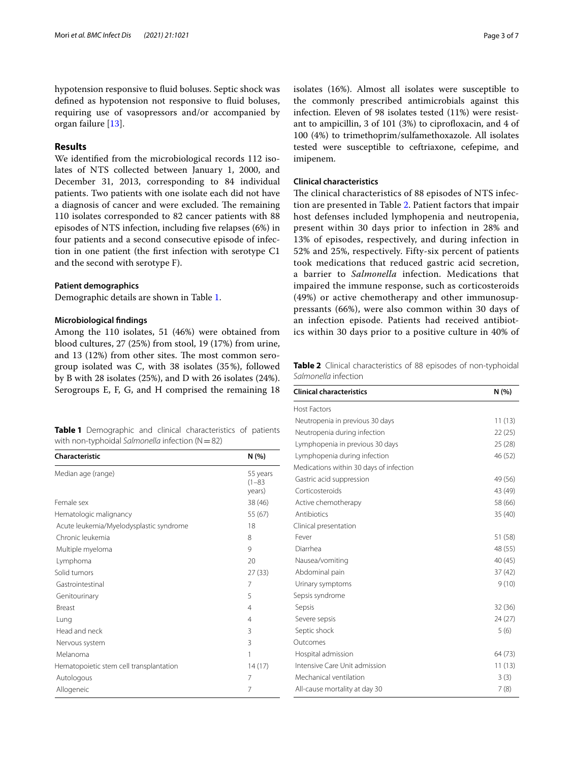hypotension responsive to fuid boluses. Septic shock was defned as hypotension not responsive to fuid boluses, requiring use of vasopressors and/or accompanied by organ failure [\[13\]](#page-5-12).

#### **Results**

We identifed from the microbiological records 112 isolates of NTS collected between January 1, 2000, and December 31, 2013, corresponding to 84 individual patients. Two patients with one isolate each did not have a diagnosis of cancer and were excluded. The remaining 110 isolates corresponded to 82 cancer patients with 88 episodes of NTS infection, including fve relapses (6%) in four patients and a second consecutive episode of infection in one patient (the frst infection with serotype C1 and the second with serotype F).

#### **Patient demographics**

Demographic details are shown in Table [1.](#page-2-0)

#### **Microbiological fndings**

Among the 110 isolates, 51 (46%) were obtained from blood cultures, 27 (25%) from stool, 19 (17%) from urine, and  $13$  ( $12\%$ ) from other sites. The most common serogroup isolated was C, with 38 isolates (35%), followed by B with 28 isolates (25%), and D with 26 isolates (24%). Serogroups E, F, G, and H comprised the remaining 18

<span id="page-2-0"></span>**Table 1** Demographic and clinical characteristics of patients with non-typhoidal *Salmonella* infection (N=82)

| Characteristic                          | N(% )                            |
|-----------------------------------------|----------------------------------|
| Median age (range)                      | 55 years<br>$(1 - 83)$<br>years) |
| Female sex                              | 38 (46)                          |
| Hematologic malignancy                  | 55 (67)                          |
| Acute leukemia/Myelodysplastic syndrome | 18                               |
| Chronic leukemia                        | 8                                |
| Multiple myeloma                        | 9                                |
| Lymphoma                                | 20                               |
| Solid tumors                            | 27 (33)                          |
| Gastrointestinal                        | 7                                |
| Genitourinary                           | 5                                |
| <b>Breast</b>                           | $\overline{4}$                   |
| Lung                                    | 4                                |
| Head and neck                           | 3                                |
| Nervous system                          | 3                                |
| Melanoma                                | 1                                |
| Hematopoietic stem cell transplantation | 14(17)                           |
| Autologous                              | 7                                |
| Allogeneic                              | 7                                |

isolates (16%). Almost all isolates were susceptible to the commonly prescribed antimicrobials against this infection. Eleven of 98 isolates tested (11%) were resistant to ampicillin, 3 of 101 (3%) to ciprofoxacin, and 4 of 100 (4%) to trimethoprim/sulfamethoxazole. All isolates tested were susceptible to ceftriaxone, cefepime, and imipenem.

#### **Clinical characteristics**

The clinical characteristics of 88 episodes of NTS infection are presented in Table [2](#page-2-1). Patient factors that impair host defenses included lymphopenia and neutropenia, present within 30 days prior to infection in 28% and 13% of episodes, respectively, and during infection in 52% and 25%, respectively. Fifty-six percent of patients took medications that reduced gastric acid secretion, a barrier to *Salmonella* infection. Medications that impaired the immune response, such as corticosteroids (49%) or active chemotherapy and other immunosuppressants (66%), were also common within 30 days of an infection episode. Patients had received antibiotics within 30 days prior to a positive culture in 40% of

<span id="page-2-1"></span>**Table 2** Clinical characteristics of 88 episodes of non-typhoidal *Salmonella* infection

| <b>Clinical characteristics</b>         | N(% )   |
|-----------------------------------------|---------|
| <b>Host Factors</b>                     |         |
| Neutropenia in previous 30 days         | 11(13)  |
| Neutropenia during infection            | 22(25)  |
| Lymphopenia in previous 30 days         | 25(28)  |
| Lymphopenia during infection            | 46 (52) |
| Medications within 30 days of infection |         |
| Gastric acid suppression                | 49 (56) |
| Corticosteroids                         | 43 (49) |
| Active chemotherapy                     | 58 (66) |
| Antibiotics                             | 35 (40) |
| Clinical presentation                   |         |
| Fever                                   | 51 (58) |
| Diarrhea                                | 48 (55) |
| Nausea/vomiting                         | 40 (45) |
| Abdominal pain                          | 37(42)  |
| Urinary symptoms                        | 9(10)   |
| Sepsis syndrome                         |         |
| Sepsis                                  | 32 (36) |
| Severe sepsis                           | 24 (27) |
| Septic shock                            | 5(6)    |
| Outcomes                                |         |
| Hospital admission                      | 64 (73) |
| Intensive Care Unit admission           | 11(13)  |
| Mechanical ventilation                  | 3(3)    |
| All-cause mortality at day 30           | 7(8)    |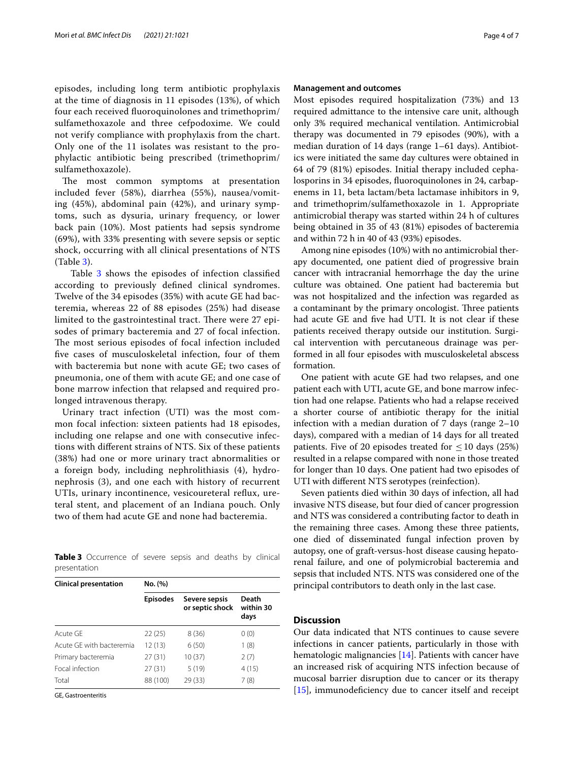episodes, including long term antibiotic prophylaxis at the time of diagnosis in 11 episodes (13%), of which four each received fuoroquinolones and trimethoprim/ sulfamethoxazole and three cefpodoxime. We could not verify compliance with prophylaxis from the chart. Only one of the 11 isolates was resistant to the prophylactic antibiotic being prescribed (trimethoprim/ sulfamethoxazole).

The most common symptoms at presentation included fever (58%), diarrhea (55%), nausea/vomiting (45%), abdominal pain (42%), and urinary symptoms, such as dysuria, urinary frequency, or lower back pain (10%). Most patients had sepsis syndrome (69%), with 33% presenting with severe sepsis or septic shock, occurring with all clinical presentations of NTS (Table [3\)](#page-3-0).

Table [3](#page-3-0) shows the episodes of infection classified according to previously defned clinical syndromes. Twelve of the 34 episodes (35%) with acute GE had bacteremia, whereas 22 of 88 episodes (25%) had disease limited to the gastrointestinal tract. There were 27 episodes of primary bacteremia and 27 of focal infection. The most serious episodes of focal infection included fve cases of musculoskeletal infection, four of them with bacteremia but none with acute GE; two cases of pneumonia, one of them with acute GE; and one case of bone marrow infection that relapsed and required prolonged intravenous therapy.

Urinary tract infection (UTI) was the most common focal infection: sixteen patients had 18 episodes, including one relapse and one with consecutive infections with diferent strains of NTS. Six of these patients (38%) had one or more urinary tract abnormalities or a foreign body, including nephrolithiasis (4), hydronephrosis (3), and one each with history of recurrent UTIs, urinary incontinence, vesicoureteral refux, ureteral stent, and placement of an Indiana pouch. Only two of them had acute GE and none had bacteremia.

<span id="page-3-0"></span>

|              | Table 3 Occurrence of severe sepsis and deaths by clinical |  |  |  |  |
|--------------|------------------------------------------------------------|--|--|--|--|
| presentation |                                                            |  |  |  |  |

| <b>Clinical presentation</b> | No. (%)         |                                  |                            |  |  |  |
|------------------------------|-----------------|----------------------------------|----------------------------|--|--|--|
|                              | <b>Episodes</b> | Severe sepsis<br>or septic shock | Death<br>within 30<br>days |  |  |  |
| Acute GF                     | 22(25)          | 8(36)                            | 0(0)                       |  |  |  |
| Acute GF with bacteremia     | 12 (13)         | 6(50)                            | 1(8)                       |  |  |  |
| Primary bacteremia           | 27(31)          | 10(37)                           | 2(7)                       |  |  |  |
| Focal infection              | 27(31)          | 5(19)                            | 4(15)                      |  |  |  |
| Total                        | 88 (100)        | 29(33)                           | 7(8)                       |  |  |  |

GE, Gastroenteritis

#### **Management and outcomes**

Most episodes required hospitalization (73%) and 13 required admittance to the intensive care unit, although only 3% required mechanical ventilation. Antimicrobial therapy was documented in 79 episodes (90%), with a median duration of 14 days (range 1–61 days). Antibiotics were initiated the same day cultures were obtained in 64 of 79 (81%) episodes. Initial therapy included cephalosporins in 34 episodes, fuoroquinolones in 24, carbapenems in 11, beta lactam/beta lactamase inhibitors in 9, and trimethoprim/sulfamethoxazole in 1. Appropriate antimicrobial therapy was started within 24 h of cultures being obtained in 35 of 43 (81%) episodes of bacteremia and within 72 h in 40 of 43 (93%) episodes.

Among nine episodes (10%) with no antimicrobial therapy documented, one patient died of progressive brain cancer with intracranial hemorrhage the day the urine culture was obtained. One patient had bacteremia but was not hospitalized and the infection was regarded as a contaminant by the primary oncologist. Three patients had acute GE and fve had UTI. It is not clear if these patients received therapy outside our institution. Surgical intervention with percutaneous drainage was performed in all four episodes with musculoskeletal abscess formation.

One patient with acute GE had two relapses, and one patient each with UTI, acute GE, and bone marrow infection had one relapse. Patients who had a relapse received a shorter course of antibiotic therapy for the initial infection with a median duration of 7 days (range 2–10 days), compared with a median of 14 days for all treated patients. Five of 20 episodes treated for  $\leq 10$  days (25%) resulted in a relapse compared with none in those treated for longer than 10 days. One patient had two episodes of UTI with diferent NTS serotypes (reinfection).

Seven patients died within 30 days of infection, all had invasive NTS disease, but four died of cancer progression and NTS was considered a contributing factor to death in the remaining three cases. Among these three patients, one died of disseminated fungal infection proven by autopsy, one of graft-versus-host disease causing hepatorenal failure, and one of polymicrobial bacteremia and sepsis that included NTS. NTS was considered one of the principal contributors to death only in the last case.

### **Discussion**

Our data indicated that NTS continues to cause severe infections in cancer patients, particularly in those with hematologic malignancies [[14\]](#page-5-13). Patients with cancer have an increased risk of acquiring NTS infection because of mucosal barrier disruption due to cancer or its therapy  $[15]$  $[15]$ , immunodeficiency due to cancer itself and receipt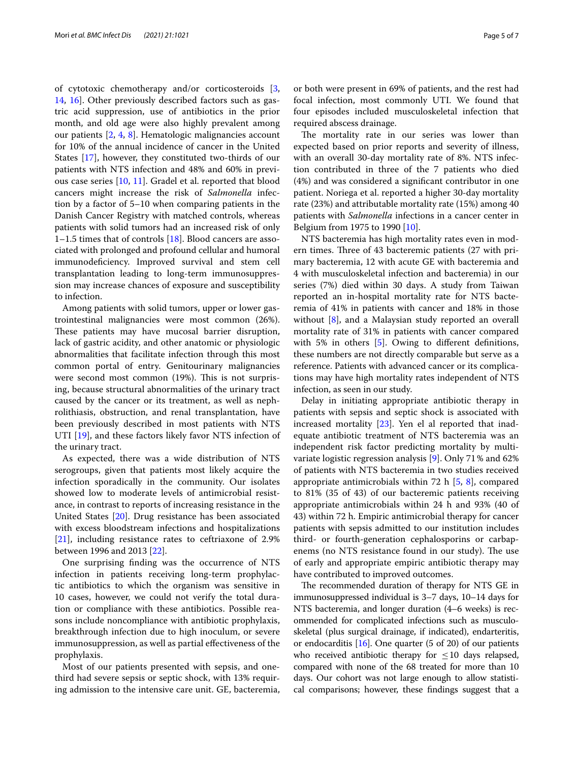of cytotoxic chemotherapy and/or corticosteroids [\[3](#page-5-3), [14,](#page-5-13) [16](#page-6-0)]. Other previously described factors such as gastric acid suppression, use of antibiotics in the prior month, and old age were also highly prevalent among our patients [[2,](#page-5-1) [4,](#page-5-2) [8\]](#page-5-7). Hematologic malignancies account for 10% of the annual incidence of cancer in the United States [[17\]](#page-6-1), however, they constituted two-thirds of our patients with NTS infection and 48% and 60% in previous case series [\[10](#page-5-9), [11\]](#page-5-10). Gradel et al. reported that blood cancers might increase the risk of *Salmonella* infection by a factor of 5–10 when comparing patients in the Danish Cancer Registry with matched controls, whereas patients with solid tumors had an increased risk of only 1–1.5 times that of controls [\[18\]](#page-6-2). Blood cancers are associated with prolonged and profound cellular and humoral immunodefciency. Improved survival and stem cell transplantation leading to long-term immunosuppression may increase chances of exposure and susceptibility to infection.

Among patients with solid tumors, upper or lower gastrointestinal malignancies were most common (26%). These patients may have mucosal barrier disruption, lack of gastric acidity, and other anatomic or physiologic abnormalities that facilitate infection through this most common portal of entry. Genitourinary malignancies were second most common (19%). This is not surprising, because structural abnormalities of the urinary tract caused by the cancer or its treatment, as well as nephrolithiasis, obstruction, and renal transplantation, have been previously described in most patients with NTS UTI [\[19](#page-6-3)], and these factors likely favor NTS infection of the urinary tract.

As expected, there was a wide distribution of NTS serogroups, given that patients most likely acquire the infection sporadically in the community. Our isolates showed low to moderate levels of antimicrobial resistance, in contrast to reports of increasing resistance in the United States [[20](#page-6-4)]. Drug resistance has been associated with excess bloodstream infections and hospitalizations [[21\]](#page-6-5), including resistance rates to ceftriaxone of 2.9% between 1996 and 2013 [\[22\]](#page-6-6).

One surprising fnding was the occurrence of NTS infection in patients receiving long-term prophylactic antibiotics to which the organism was sensitive in 10 cases, however, we could not verify the total duration or compliance with these antibiotics. Possible reasons include noncompliance with antibiotic prophylaxis, breakthrough infection due to high inoculum, or severe immunosuppression, as well as partial efectiveness of the prophylaxis.

Most of our patients presented with sepsis, and onethird had severe sepsis or septic shock, with 13% requiring admission to the intensive care unit. GE, bacteremia, or both were present in 69% of patients, and the rest had focal infection, most commonly UTI. We found that four episodes included musculoskeletal infection that required abscess drainage.

The mortality rate in our series was lower than expected based on prior reports and severity of illness, with an overall 30-day mortality rate of 8%. NTS infection contributed in three of the 7 patients who died (4%) and was considered a signifcant contributor in one patient. Noriega et al. reported a higher 30-day mortality rate (23%) and attributable mortality rate (15%) among 40 patients with *Salmonella* infections in a cancer center in Belgium from 1975 to 1990 [\[10](#page-5-9)].

NTS bacteremia has high mortality rates even in modern times. Three of 43 bacteremic patients (27 with primary bacteremia, 12 with acute GE with bacteremia and 4 with musculoskeletal infection and bacteremia) in our series (7%) died within 30 days. A study from Taiwan reported an in-hospital mortality rate for NTS bacteremia of 41% in patients with cancer and 18% in those without [[8\]](#page-5-7), and a Malaysian study reported an overall mortality rate of 31% in patients with cancer compared with [5](#page-5-4)% in others [5]. Owing to different definitions, these numbers are not directly comparable but serve as a reference. Patients with advanced cancer or its complications may have high mortality rates independent of NTS infection, as seen in our study.

Delay in initiating appropriate antibiotic therapy in patients with sepsis and septic shock is associated with increased mortality [[23\]](#page-6-7). Yen el al reported that inadequate antibiotic treatment of NTS bacteremia was an independent risk factor predicting mortality by multivariate logistic regression analysis [\[9](#page-5-8)]. Only 71% and 62% of patients with NTS bacteremia in two studies received appropriate antimicrobials within 72 h  $[5, 8]$  $[5, 8]$  $[5, 8]$ , compared to 81% (35 of 43) of our bacteremic patients receiving appropriate antimicrobials within 24 h and 93% (40 of 43) within 72 h. Empiric antimicrobial therapy for cancer patients with sepsis admitted to our institution includes third- or fourth-generation cephalosporins or carbapenems (no NTS resistance found in our study). The use of early and appropriate empiric antibiotic therapy may have contributed to improved outcomes.

The recommended duration of therapy for NTS GE in immunosuppressed individual is 3–7 days, 10–14 days for NTS bacteremia, and longer duration (4–6 weeks) is recommended for complicated infections such as musculoskeletal (plus surgical drainage, if indicated), endarteritis, or endocarditis [[16](#page-6-0)]. One quarter (5 of 20) of our patients who received antibiotic therapy for  $\leq 10$  days relapsed, compared with none of the 68 treated for more than 10 days. Our cohort was not large enough to allow statistical comparisons; however, these fndings suggest that a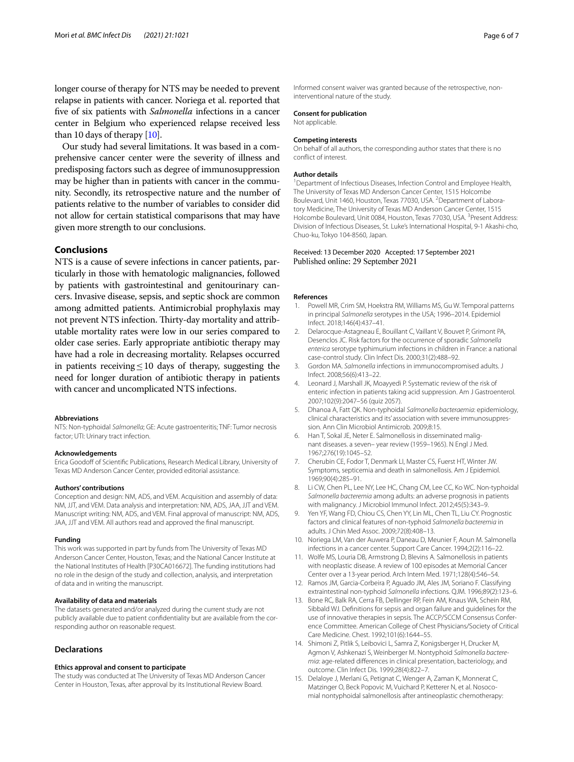longer course of therapy for NTS may be needed to prevent relapse in patients with cancer. Noriega et al. reported that fve of six patients with *Salmonella* infections in a cancer center in Belgium who experienced relapse received less than 10 days of therapy [\[10\]](#page-5-9).

Our study had several limitations. It was based in a comprehensive cancer center were the severity of illness and predisposing factors such as degree of immunosuppression may be higher than in patients with cancer in the community. Secondly, its retrospective nature and the number of patients relative to the number of variables to consider did not allow for certain statistical comparisons that may have given more strength to our conclusions.

#### **Conclusions**

NTS is a cause of severe infections in cancer patients, particularly in those with hematologic malignancies, followed by patients with gastrointestinal and genitourinary cancers. Invasive disease, sepsis, and septic shock are common among admitted patients. Antimicrobial prophylaxis may not prevent NTS infection. Thirty-day mortality and attributable mortality rates were low in our series compared to older case series. Early appropriate antibiotic therapy may have had a role in decreasing mortality. Relapses occurred in patients receiving  $\leq 10$  days of therapy, suggesting the need for longer duration of antibiotic therapy in patients with cancer and uncomplicated NTS infections.

#### **Abbreviations**

NTS: Non-typhoidal *Salmonella*; GE: Acute gastroenteritis; TNF: Tumor necrosis factor; UTI: Urinary tract infection.

#### **Acknowledgements**

Erica Goodoff of Scientific Publications, Research Medical Library, University of Texas MD Anderson Cancer Center, provided editorial assistance.

#### **Authors' contributions**

Conception and design: NM, ADS, and VEM. Acquisition and assembly of data: NM, JJT, and VEM. Data analysis and interpretation: NM, ADS, JAA, JJT and VEM. Manuscript writing: NM, ADS, and VEM. Final approval of manuscript: NM, ADS, JAA, JJT and VEM. All authors read and approved the fnal manuscript.

#### **Funding**

This work was supported in part by funds from The University of Texas MD Anderson Cancer Center, Houston, Texas; and the National Cancer Institute at the National Institutes of Health [P30CA016672]. The funding institutions had no role in the design of the study and collection, analysis, and interpretation of data and in writing the manuscript.

#### **Availability of data and materials**

The datasets generated and/or analyzed during the current study are not publicly available due to patient confdentiality but are available from the corresponding author on reasonable request.

#### **Declarations**

#### **Ethics approval and consent to participate**

The study was conducted at The University of Texas MD Anderson Cancer Center in Houston, Texas, after approval by its Institutional Review Board.

Informed consent waiver was granted because of the retrospective, noninterventional nature of the study.

#### **Consent for publication**

Not applicable.

#### **Competing interests**

On behalf of all authors, the corresponding author states that there is no confict of interest.

#### **Author details**

<sup>1</sup> Department of Infectious Diseases, Infection Control and Employee Health, The University of Texas MD Anderson Cancer Center, 1515 Holcombe Boulevard, Unit 1460, Houston, Texas 77030, USA. <sup>2</sup> Department of Laboratory Medicine, The University of Texas MD Anderson Cancer Center, 1515 Holcombe Boulevard, Unit 0084, Houston, Texas 77030, USA.<sup>3</sup> Present Address: Division of Infectious Diseases, St. Luke's International Hospital, 9-1 Akashi-cho, Chuo-ku, Tokyo 104-8560, Japan.

## Received: 13 December 2020 Accepted: 17 September 2021

#### **References**

- <span id="page-5-0"></span>1. Powell MR, Crim SM, Hoekstra RM, Williams MS, Gu W. Temporal patterns in principal *Salmonella* serotypes in the USA; 1996–2014. Epidemiol Infect. 2018;146(4):437–41.
- <span id="page-5-1"></span>2. Delarocque-Astagneau E, Bouillant C, Vaillant V, Bouvet P, Grimont PA, Desenclos JC. Risk factors for the occurrence of sporadic *Salmonella enterica* serotype typhimurium infections in children in France: a national case-control study. Clin Infect Dis. 2000;31(2):488–92.
- <span id="page-5-3"></span>3. Gordon MA. *Salmonella* infections in immunocompromised adults. J Infect. 2008;56(6):413–22.
- <span id="page-5-2"></span>Leonard J, Marshall JK, Moayyedi P. Systematic review of the risk of enteric infection in patients taking acid suppression. Am J Gastroenterol. 2007;102(9):2047–56 (quiz 2057).
- <span id="page-5-4"></span>5. Dhanoa A, Fatt QK. Non-typhoidal *Salmonella bacteraemia*: epidemiology, clinical characteristics and its' association with severe immunosuppression. Ann Clin Microbiol Antimicrob. 2009;8:15.
- <span id="page-5-5"></span>6. Han T, Sokal JE, Neter E. Salmonellosis in disseminated malignant diseases. a seven– year review (1959–1965). N Engl J Med. 1967;276(19):1045–52.
- <span id="page-5-6"></span>7. Cherubin CE, Fodor T, Denmark LI, Master CS, Fuerst HT, Winter JW. Symptoms, septicemia and death in salmonellosis. Am J Epidemiol. 1969;90(4):285–91.
- <span id="page-5-7"></span>8. Li CW, Chen PL, Lee NY, Lee HC, Chang CM, Lee CC, Ko WC. Non-typhoidal *Salmonella bacteremia* among adults: an adverse prognosis in patients with malignancy. J Microbiol Immunol Infect. 2012;45(5):343–9.
- <span id="page-5-8"></span>9. Yen YF, Wang FD, Chiou CS, Chen YY, Lin ML, Chen TL, Liu CY. Prognostic factors and clinical features of non-typhoid *Salmonella bacteremia* in adults. J Chin Med Assoc. 2009;72(8):408–13.
- <span id="page-5-9"></span>10. Noriega LM, Van der Auwera P, Daneau D, Meunier F, Aoun M. Salmonella infections in a cancer center. Support Care Cancer. 1994;2(2):116–22.
- <span id="page-5-10"></span>11. Wolfe MS, Louria DB, Armstrong D, Blevins A. Salmonellosis in patients with neoplastic disease. A review of 100 episodes at Memorial Cancer Center over a 13-year period. Arch Intern Med. 1971;128(4):546–54.
- <span id="page-5-11"></span>12. Ramos JM, Garcia-Corbeira P, Aguado JM, Ales JM, Soriano F. Classifying extraintestinal non-typhoid *Salmonella* infections. QJM. 1996;89(2):123–6.
- <span id="page-5-12"></span>13. Bone RC, Balk RA, Cerra FB, Dellinger RP, Fein AM, Knaus WA, Schein RM, Sibbald WJ. Defnitions for sepsis and organ failure and guidelines for the use of innovative therapies in sepsis. The ACCP/SCCM Consensus Conference Committee. American College of Chest Physicians/Society of Critical Care Medicine. Chest. 1992;101(6):1644–55.
- <span id="page-5-13"></span>14. Shimoni Z, Pitlik S, Leibovici L, Samra Z, Konigsberger H, Drucker M, Agmon V, Ashkenazi S, Weinberger M. Nontyphoid *Salmonella bacteremia*: age-related diferences in clinical presentation, bacteriology, and outcome. Clin Infect Dis. 1999;28(4):822–7.
- <span id="page-5-14"></span>15. Delaloye J, Merlani G, Petignat C, Wenger A, Zaman K, Monnerat C, Matzinger O, Beck Popovic M, Vuichard P, Ketterer N, et al. Nosocomial nontyphoidal salmonellosis after antineoplastic chemotherapy: